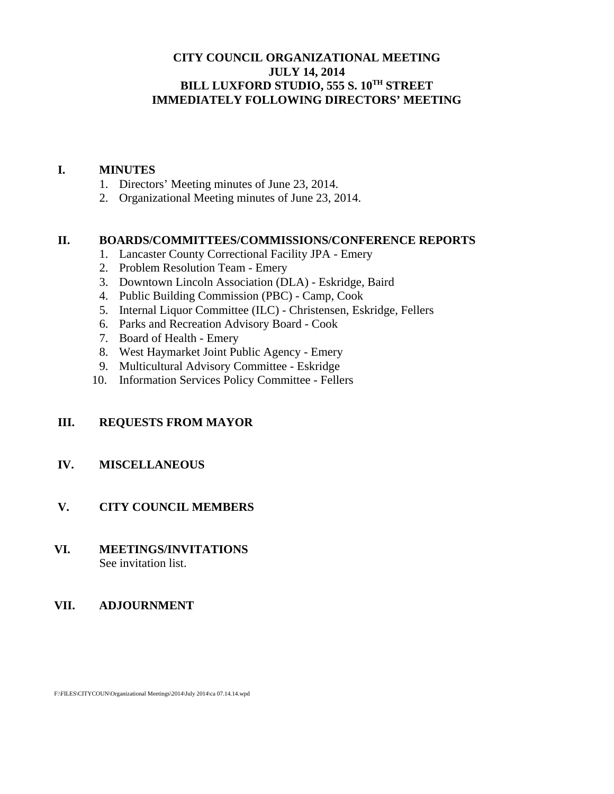## **CITY COUNCIL ORGANIZATIONAL MEETING JULY 14, 2014 BILL LUXFORD STUDIO, 555 S. 10TH STREET IMMEDIATELY FOLLOWING DIRECTORS' MEETING**

#### **I. MINUTES**

- 1. Directors' Meeting minutes of June 23, 2014.
- 2. Organizational Meeting minutes of June 23, 2014.

#### **II. BOARDS/COMMITTEES/COMMISSIONS/CONFERENCE REPORTS**

- 1. Lancaster County Correctional Facility JPA Emery
- 2. Problem Resolution Team Emery
- 3. Downtown Lincoln Association (DLA) Eskridge, Baird
- 4. Public Building Commission (PBC) Camp, Cook
- 5. Internal Liquor Committee (ILC) Christensen, Eskridge, Fellers
- 6. Parks and Recreation Advisory Board Cook
- 7. Board of Health Emery
- 8. West Haymarket Joint Public Agency Emery
- 9. Multicultural Advisory Committee Eskridge
- 10. Information Services Policy Committee Fellers

## **III. REQUESTS FROM MAYOR**

#### **IV. MISCELLANEOUS**

#### **V. CITY COUNCIL MEMBERS**

#### **VI. MEETINGS/INVITATIONS** See invitation list.

#### **VII. ADJOURNMENT**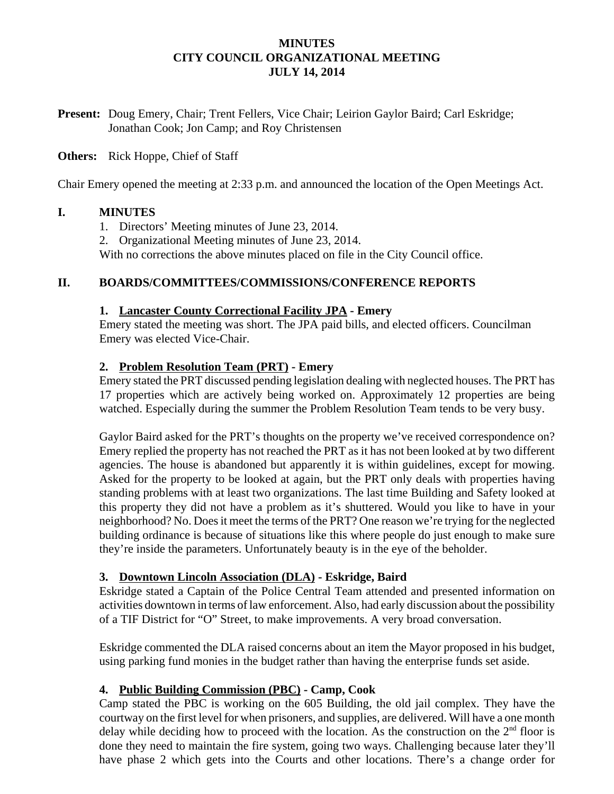### **MINUTES CITY COUNCIL ORGANIZATIONAL MEETING JULY 14, 2014**

**Present:** Doug Emery, Chair; Trent Fellers, Vice Chair; Leirion Gaylor Baird; Carl Eskridge; Jonathan Cook; Jon Camp; and Roy Christensen

### **Others:** Rick Hoppe, Chief of Staff

Chair Emery opened the meeting at 2:33 p.m. and announced the location of the Open Meetings Act.

### **I. MINUTES**

- 1. Directors' Meeting minutes of June 23, 2014.
- 2. Organizational Meeting minutes of June 23, 2014.

With no corrections the above minutes placed on file in the City Council office.

### **II. BOARDS/COMMITTEES/COMMISSIONS/CONFERENCE REPORTS**

#### **1. Lancaster County Correctional Facility JPA - Emery**

Emery stated the meeting was short. The JPA paid bills, and elected officers. Councilman Emery was elected Vice-Chair.

### **2. Problem Resolution Team (PRT) - Emery**

Emery stated the PRT discussed pending legislation dealing with neglected houses. The PRT has 17 properties which are actively being worked on. Approximately 12 properties are being watched. Especially during the summer the Problem Resolution Team tends to be very busy.

Gaylor Baird asked for the PRT's thoughts on the property we've received correspondence on? Emery replied the property has not reached the PRT as it has not been looked at by two different agencies. The house is abandoned but apparently it is within guidelines, except for mowing. Asked for the property to be looked at again, but the PRT only deals with properties having standing problems with at least two organizations. The last time Building and Safety looked at this property they did not have a problem as it's shuttered. Would you like to have in your neighborhood? No. Does it meet the terms of the PRT? One reason we're trying for the neglected building ordinance is because of situations like this where people do just enough to make sure they're inside the parameters. Unfortunately beauty is in the eye of the beholder.

## **3. Downtown Lincoln Association (DLA) - Eskridge, Baird**

Eskridge stated a Captain of the Police Central Team attended and presented information on activities downtown in terms of law enforcement. Also, had early discussion about the possibility of a TIF District for "O" Street, to make improvements. A very broad conversation.

Eskridge commented the DLA raised concerns about an item the Mayor proposed in his budget, using parking fund monies in the budget rather than having the enterprise funds set aside.

## **4. Public Building Commission (PBC) - Camp, Cook**

Camp stated the PBC is working on the 605 Building, the old jail complex. They have the courtway on the first level for when prisoners, and supplies, are delivered. Will have a one month delay while deciding how to proceed with the location. As the construction on the  $2<sup>nd</sup>$  floor is done they need to maintain the fire system, going two ways. Challenging because later they'll have phase 2 which gets into the Courts and other locations. There's a change order for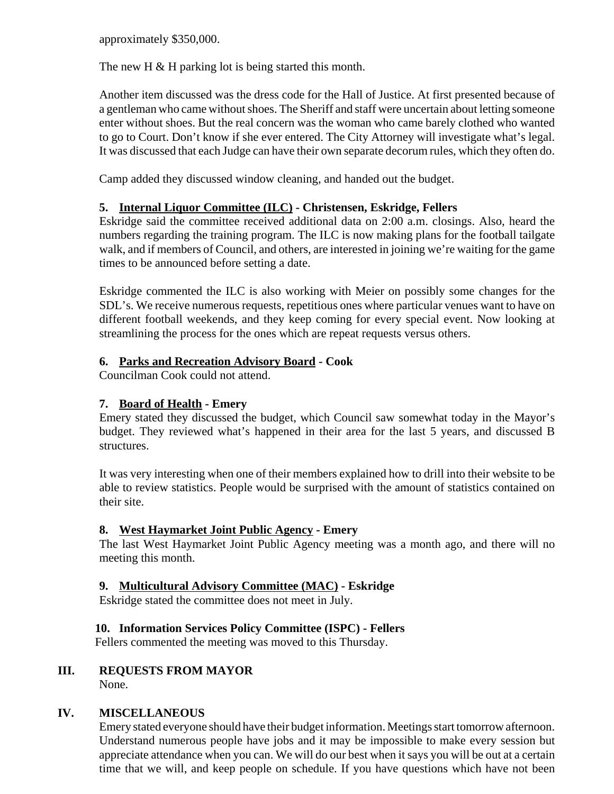approximately \$350,000.

The new H & H parking lot is being started this month.

Another item discussed was the dress code for the Hall of Justice. At first presented because of a gentleman who came without shoes. The Sheriff and staff were uncertain about letting someone enter without shoes. But the real concern was the woman who came barely clothed who wanted to go to Court. Don't know if she ever entered. The City Attorney will investigate what's legal. It was discussed that each Judge can have their own separate decorum rules, which they often do.

Camp added they discussed window cleaning, and handed out the budget.

## **5. Internal Liquor Committee (ILC) - Christensen, Eskridge, Fellers**

Eskridge said the committee received additional data on 2:00 a.m. closings. Also, heard the numbers regarding the training program. The ILC is now making plans for the football tailgate walk, and if members of Council, and others, are interested in joining we're waiting for the game times to be announced before setting a date.

Eskridge commented the ILC is also working with Meier on possibly some changes for the SDL's. We receive numerous requests, repetitious ones where particular venues want to have on different football weekends, and they keep coming for every special event. Now looking at streamlining the process for the ones which are repeat requests versus others.

## **6. Parks and Recreation Advisory Board - Cook**

Councilman Cook could not attend.

# **7. Board of Health - Emery**

Emery stated they discussed the budget, which Council saw somewhat today in the Mayor's budget. They reviewed what's happened in their area for the last 5 years, and discussed B structures.

It was very interesting when one of their members explained how to drill into their website to be able to review statistics. People would be surprised with the amount of statistics contained on their site.

## **8. West Haymarket Joint Public Agency - Emery**

The last West Haymarket Joint Public Agency meeting was a month ago, and there will no meeting this month.

## **9. Multicultural Advisory Committee (MAC) - Eskridge**

Eskridge stated the committee does not meet in July.

# **10. Information Services Policy Committee (ISPC) - Fellers**

Fellers commented the meeting was moved to this Thursday.

# **III. REQUESTS FROM MAYOR**

None.

# **IV. MISCELLANEOUS**

Emery stated everyone should have their budget information. Meetings start tomorrow afternoon. Understand numerous people have jobs and it may be impossible to make every session but appreciate attendance when you can. We will do our best when it says you will be out at a certain time that we will, and keep people on schedule. If you have questions which have not been